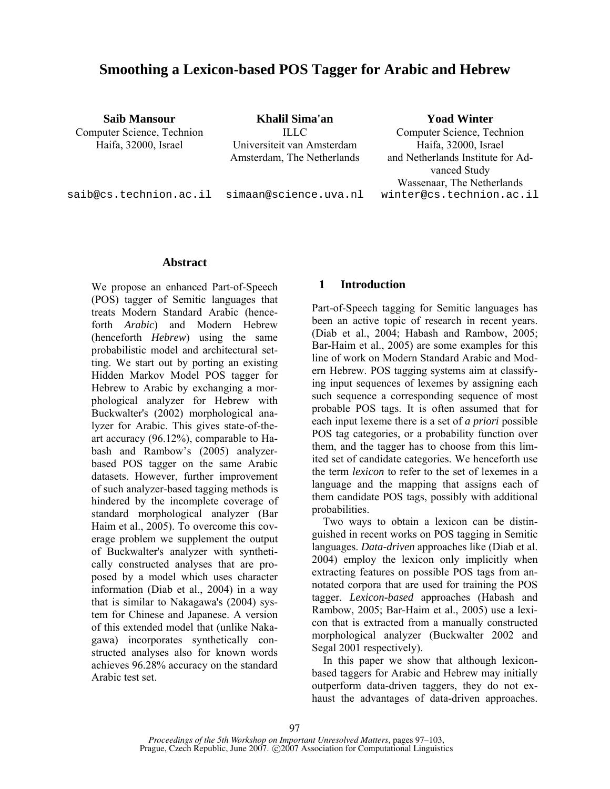# **Smoothing a Lexicon-based POS Tagger for Arabic and Hebrew**

**Saib Mansour Khalil Sima'an Yoad Winter** Haifa, 32000, Israel Universiteit van Amsterdam Haifa, 32000, Israel

Computer Science, Technion **ILLC** Computer Science, Technion Amsterdam, The Netherlands and Netherlands Institute for Advanced Study Wassenaar, The Netherlands saib@cs.technion.ac.il simaan@science.uva.nl winter@cs.technion.ac.il

**Abstract** 

We propose an enhanced Part-of-Speech (POS) tagger of Semitic languages that treats Modern Standard Arabic (henceforth *Arabic*) and Modern Hebrew (henceforth *Hebrew*) using the same probabilistic model and architectural setting. We start out by porting an existing Hidden Markov Model POS tagger for Hebrew to Arabic by exchanging a morphological analyzer for Hebrew with Buckwalter's (2002) morphological analyzer for Arabic. This gives state-of-theart accuracy (96.12%), comparable to Habash and Rambow's (2005) analyzerbased POS tagger on the same Arabic datasets. However, further improvement of such analyzer-based tagging methods is hindered by the incomplete coverage of standard morphological analyzer (Bar Haim et al., 2005). To overcome this coverage problem we supplement the output of Buckwalter's analyzer with synthetically constructed analyses that are proposed by a model which uses character information (Diab et al., 2004) in a way that is similar to Nakagawa's (2004) system for Chinese and Japanese. A version of this extended model that (unlike Nakagawa) incorporates synthetically constructed analyses also for known words achieves 96.28% accuracy on the standard Arabic test set.

## **1 Introduction**

Part-of-Speech tagging for Semitic languages has been an active topic of research in recent years. (Diab et al., 2004; Habash and Rambow, 2005; Bar-Haim et al., 2005) are some examples for this line of work on Modern Standard Arabic and Modern Hebrew. POS tagging systems aim at classifying input sequences of lexemes by assigning each such sequence a corresponding sequence of most probable POS tags. It is often assumed that for each input lexeme there is a set of *a priori* possible POS tag categories, or a probability function over them, and the tagger has to choose from this limited set of candidate categories. We henceforth use the term *lexicon* to refer to the set of lexemes in a language and the mapping that assigns each of them candidate POS tags, possibly with additional probabilities.

Two ways to obtain a lexicon can be distinguished in recent works on POS tagging in Semitic languages. *Data-driven* approaches like (Diab et al. 2004) employ the lexicon only implicitly when extracting features on possible POS tags from annotated corpora that are used for training the POS tagger. *Lexicon-based* approaches (Habash and Rambow, 2005; Bar-Haim et al., 2005) use a lexicon that is extracted from a manually constructed morphological analyzer (Buckwalter 2002 and Segal 2001 respectively).

In this paper we show that although lexiconbased taggers for Arabic and Hebrew may initially outperform data-driven taggers, they do not exhaust the advantages of data-driven approaches.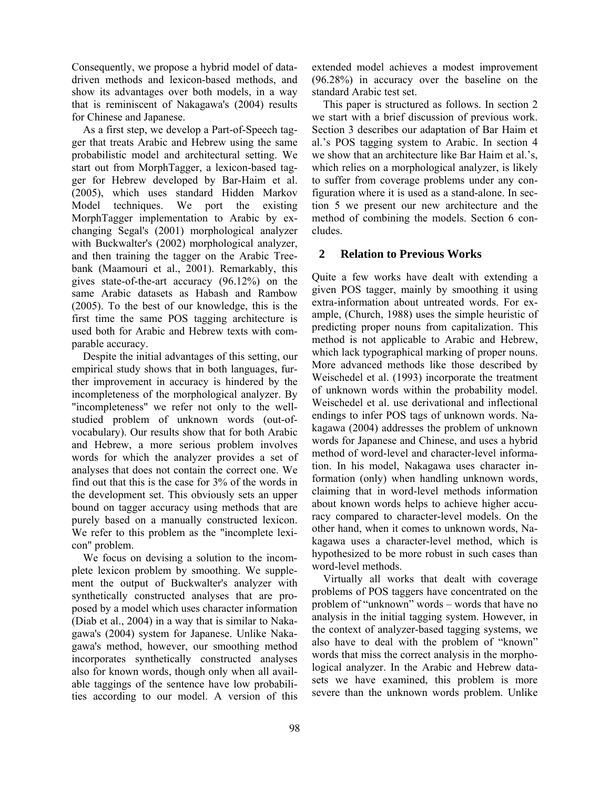Consequently, we propose a hybrid model of datadriven methods and lexicon-based methods, and show its advantages over both models, in a way that is reminiscent of Nakagawa's (2004) results for Chinese and Japanese.

As a first step, we develop a Part-of-Speech tagger that treats Arabic and Hebrew using the same probabilistic model and architectural setting. We start out from MorphTagger, a lexicon-based tagger for Hebrew developed by Bar-Haim et al. (2005), which uses standard Hidden Markov Model techniques. We port the existing MorphTagger implementation to Arabic by exchanging Segal's (2001) morphological analyzer with Buckwalter's (2002) morphological analyzer, and then training the tagger on the Arabic Treebank (Maamouri et al., 2001). Remarkably, this gives state-of-the-art accuracy (96.12%) on the same Arabic datasets as Habash and Rambow (2005). To the best of our knowledge, this is the first time the same POS tagging architecture is used both for Arabic and Hebrew texts with comparable accuracy.

Despite the initial advantages of this setting, our empirical study shows that in both languages, further improvement in accuracy is hindered by the incompleteness of the morphological analyzer. By "incompleteness" we refer not only to the wellstudied problem of unknown words (out-ofvocabulary). Our results show that for both Arabic and Hebrew, a more serious problem involves words for which the analyzer provides a set of analyses that does not contain the correct one. We find out that this is the case for 3% of the words in the development set. This obviously sets an upper bound on tagger accuracy using methods that are purely based on a manually constructed lexicon. We refer to this problem as the "incomplete lexicon" problem.

We focus on devising a solution to the incomplete lexicon problem by smoothing. We supplement the output of Buckwalter's analyzer with synthetically constructed analyses that are proposed by a model which uses character information (Diab et al., 2004) in a way that is similar to Nakagawa's (2004) system for Japanese. Unlike Nakagawa's method, however, our smoothing method incorporates synthetically constructed analyses also for known words, though only when all available taggings of the sentence have low probabilities according to our model. A version of this

extended model achieves a modest improvement (96.28%) in accuracy over the baseline on the standard Arabic test set.

This paper is structured as follows. In section 2 we start with a brief discussion of previous work. Section 3 describes our adaptation of Bar Haim et al.'s POS tagging system to Arabic. In section 4 we show that an architecture like Bar Haim et al.'s, which relies on a morphological analyzer, is likely to suffer from coverage problems under any configuration where it is used as a stand-alone. In section 5 we present our new architecture and the method of combining the models. Section 6 concludes.

# **2 Relation to Previous Works**

Quite a few works have dealt with extending a given POS tagger, mainly by smoothing it using extra-information about untreated words. For example, (Church, 1988) uses the simple heuristic of predicting proper nouns from capitalization. This method is not applicable to Arabic and Hebrew, which lack typographical marking of proper nouns. More advanced methods like those described by Weischedel et al. (1993) incorporate the treatment of unknown words within the probability model. Weischedel et al. use derivational and inflectional endings to infer POS tags of unknown words. Nakagawa (2004) addresses the problem of unknown words for Japanese and Chinese, and uses a hybrid method of word-level and character-level information. In his model, Nakagawa uses character information (only) when handling unknown words, claiming that in word-level methods information about known words helps to achieve higher accuracy compared to character-level models. On the other hand, when it comes to unknown words, Nakagawa uses a character-level method, which is hypothesized to be more robust in such cases than word-level methods.

Virtually all works that dealt with coverage problems of POS taggers have concentrated on the problem of "unknown" words – words that have no analysis in the initial tagging system. However, in the context of analyzer-based tagging systems, we also have to deal with the problem of "known" words that miss the correct analysis in the morphological analyzer. In the Arabic and Hebrew datasets we have examined, this problem is more severe than the unknown words problem. Unlike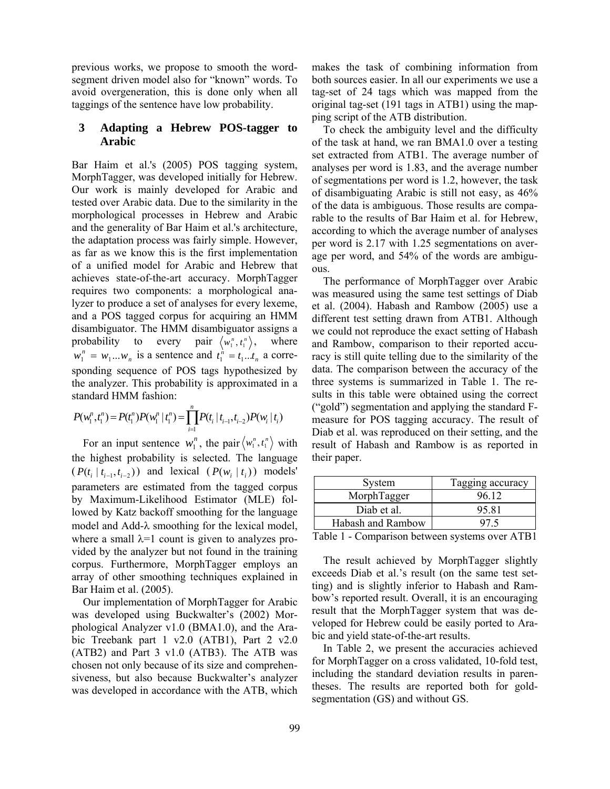previous works, we propose to smooth the wordsegment driven model also for "known" words. To avoid overgeneration, this is done only when all taggings of the sentence have low probability.

### **3 Adapting a Hebrew POS-tagger to Arabic**

Bar Haim et al.'s (2005) POS tagging system, MorphTagger, was developed initially for Hebrew. Our work is mainly developed for Arabic and tested over Arabic data. Due to the similarity in the morphological processes in Hebrew and Arabic and the generality of Bar Haim et al.'s architecture, the adaptation process was fairly simple. However, as far as we know this is the first implementation of a unified model for Arabic and Hebrew that achieves state-of-the-art accuracy. MorphTagger requires two components: a morphological analyzer to produce a set of analyses for every lexeme, and a POS tagged corpus for acquiring an HMM disambiguator. The HMM disambiguator assigns a probability to every pair  $\langle w_1^n, t_1^n \rangle$ , where  $w_1^n = w_1...w_n$  is a sentence and  $t_1^n = t_1...t_n$  a corresponding sequence of POS tags hypothesized by the analyzer. This probability is approximated in a standard HMM fashion:

$$
P(w_1^n, t_1^n) = P(t_1^n)P(w_1^n | t_1^n) = \prod_{i=1}^n P(t_i | t_{i-1}, t_{i-2})P(w_i | t_i)
$$

For an input sentence  $w_1^n$ , the pair  $\langle w_1^n, t_1^n \rangle$  with the highest probability is selected. The language  $(P(t_i | t_{i-1}, t_{i-2}))$  and lexical  $(P(w_i | t_i))$  models' parameters are estimated from the tagged corpus by Maximum-Likelihood Estimator (MLE) followed by Katz backoff smoothing for the language model and Add-λ smoothing for the lexical model, where a small  $\lambda=1$  count is given to analyzes provided by the analyzer but not found in the training corpus. Furthermore, MorphTagger employs an array of other smoothing techniques explained in Bar Haim et al. (2005).

Our implementation of MorphTagger for Arabic was developed using Buckwalter's (2002) Morphological Analyzer v1.0 (BMA1.0), and the Arabic Treebank part 1 v2.0 (ATB1), Part 2 v2.0 (ATB2) and Part 3 v1.0 (ATB3). The ATB was chosen not only because of its size and comprehensiveness, but also because Buckwalter's analyzer was developed in accordance with the ATB, which makes the task of combining information from both sources easier. In all our experiments we use a tag-set of 24 tags which was mapped from the original tag-set (191 tags in ATB1) using the mapping script of the ATB distribution.

To check the ambiguity level and the difficulty of the task at hand, we ran BMA1.0 over a testing set extracted from ATB1. The average number of analyses per word is 1.83, and the average number of segmentations per word is 1.2, however, the task of disambiguating Arabic is still not easy, as 46% of the data is ambiguous. Those results are comparable to the results of Bar Haim et al. for Hebrew, according to which the average number of analyses per word is 2.17 with 1.25 segmentations on average per word, and 54% of the words are ambiguous.

The performance of MorphTagger over Arabic was measured using the same test settings of Diab et al. (2004). Habash and Rambow (2005) use a different test setting drawn from ATB1. Although we could not reproduce the exact setting of Habash and Rambow, comparison to their reported accuracy is still quite telling due to the similarity of the data. The comparison between the accuracy of the three systems is summarized in Table 1. The results in this table were obtained using the correct ("gold") segmentation and applying the standard Fmeasure for POS tagging accuracy. The result of Diab et al. was reproduced on their setting, and the result of Habash and Rambow is as reported in their paper.

| System            | Tagging accuracy |
|-------------------|------------------|
| MorphTagger       | 96 12            |
| Diab et al.       | 95.81            |
| Habash and Rambow | 97 5             |
| .                 |                  |

Table 1 - Comparison between systems over ATB1

The result achieved by MorphTagger slightly exceeds Diab et al.'s result (on the same test setting) and is slightly inferior to Habash and Rambow's reported result. Overall, it is an encouraging result that the MorphTagger system that was developed for Hebrew could be easily ported to Arabic and yield state-of-the-art results.

In Table 2, we present the accuracies achieved for MorphTagger on a cross validated, 10-fold test, including the standard deviation results in parentheses. The results are reported both for goldsegmentation (GS) and without GS.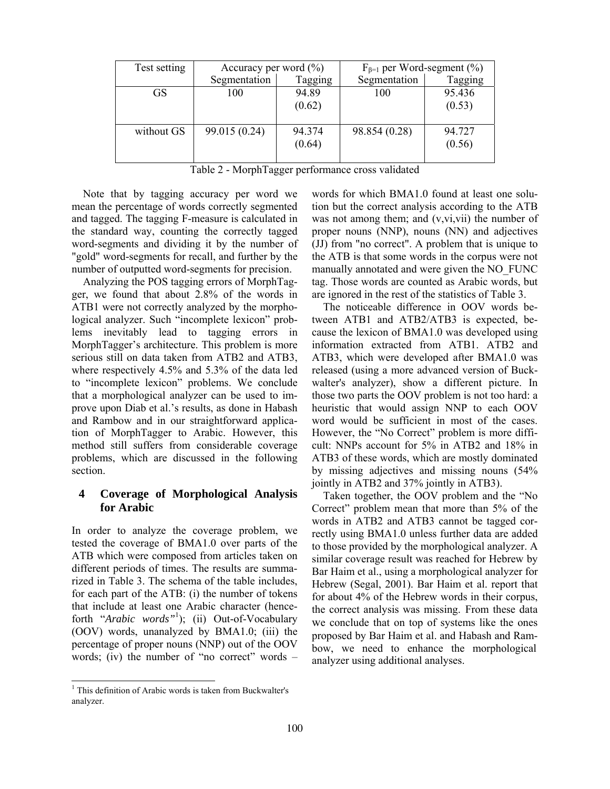| Test setting | Accuracy per word $(\% )$ |         | $F_{\beta=1}$ per Word-segment (%) |         |
|--------------|---------------------------|---------|------------------------------------|---------|
|              | Segmentation              | Tagging | Segmentation                       | Tagging |
| GS           | 100                       | 94.89   | 100                                | 95.436  |
|              |                           | (0.62)  |                                    | (0.53)  |
|              |                           |         |                                    |         |
| without GS   | 99.015 (0.24)             | 94.374  | 98.854 (0.28)                      | 94.727  |
|              |                           | (0.64)  |                                    | (0.56)  |
|              |                           |         |                                    |         |

Table 2 - MorphTagger performance cross validated

Note that by tagging accuracy per word we mean the percentage of words correctly segmented and tagged. The tagging F-measure is calculated in the standard way, counting the correctly tagged word-segments and dividing it by the number of "gold" word-segments for recall, and further by the number of outputted word-segments for precision.

Analyzing the POS tagging errors of MorphTagger, we found that about 2.8% of the words in ATB1 were not correctly analyzed by the morphological analyzer. Such "incomplete lexicon" problems inevitably lead to tagging errors in MorphTagger's architecture. This problem is more serious still on data taken from ATB2 and ATB3, where respectively 4.5% and 5.3% of the data led to "incomplete lexicon" problems. We conclude that a morphological analyzer can be used to improve upon Diab et al.'s results, as done in Habash and Rambow and in our straightforward application of MorphTagger to Arabic. However, this method still suffers from considerable coverage problems, which are discussed in the following section.

# **4 Coverage of Morphological Analysis for Arabic**

In order to analyze the coverage problem, we tested the coverage of BMA1.0 over parts of the ATB which were composed from articles taken on different periods of times. The results are summarized in Table 3. The schema of the table includes, for each part of the ATB: (i) the number of tokens that include at least one Arabic character (henceforth "*Arabic words"*<sup>1</sup> ); (ii) Out-of-Vocabulary (OOV) words, unanalyzed by BMA1.0; (iii) the percentage of proper nouns (NNP) out of the OOV words; (iv) the number of "no correct" words –

words for which BMA1.0 found at least one solution but the correct analysis according to the ATB was not among them; and (v,vi,vii) the number of proper nouns (NNP), nouns (NN) and adjectives (JJ) from "no correct". A problem that is unique to the ATB is that some words in the corpus were not manually annotated and were given the NO\_FUNC tag. Those words are counted as Arabic words, but are ignored in the rest of the statistics of Table 3.

The noticeable difference in OOV words between ATB1 and ATB2/ATB3 is expected, because the lexicon of BMA1.0 was developed using information extracted from ATB1. ATB2 and ATB3, which were developed after BMA1.0 was released (using a more advanced version of Buckwalter's analyzer), show a different picture. In those two parts the OOV problem is not too hard: a heuristic that would assign NNP to each OOV word would be sufficient in most of the cases. However, the "No Correct" problem is more difficult: NNPs account for 5% in ATB2 and 18% in ATB3 of these words, which are mostly dominated by missing adjectives and missing nouns (54% jointly in ATB2 and 37% jointly in ATB3).

Taken together, the OOV problem and the "No Correct" problem mean that more than 5% of the words in ATB2 and ATB3 cannot be tagged correctly using BMA1.0 unless further data are added to those provided by the morphological analyzer. A similar coverage result was reached for Hebrew by Bar Haim et al., using a morphological analyzer for Hebrew (Segal, 2001). Bar Haim et al. report that for about 4% of the Hebrew words in their corpus, the correct analysis was missing. From these data we conclude that on top of systems like the ones proposed by Bar Haim et al. and Habash and Rambow, we need to enhance the morphological analyzer using additional analyses.

 $\overline{a}$ 

<sup>&</sup>lt;sup>1</sup> This definition of Arabic words is taken from Buckwalter's analyzer.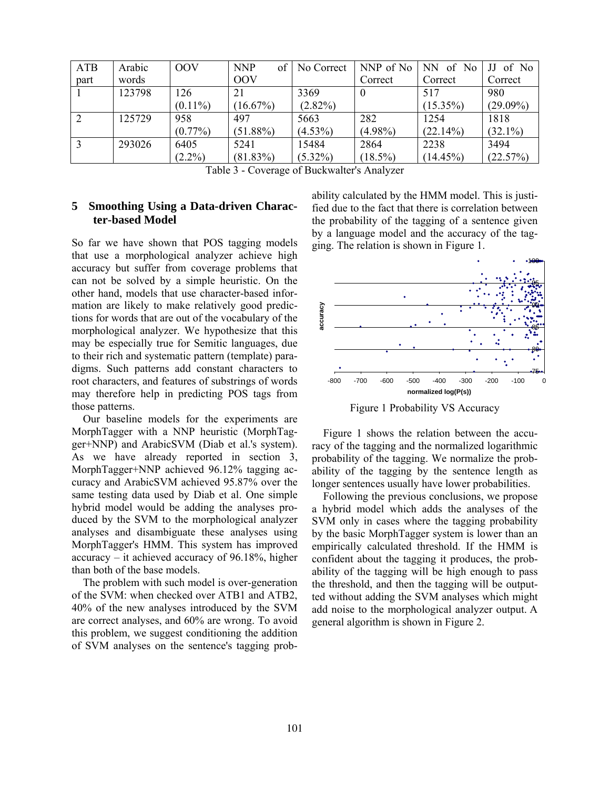| <b>ATB</b>   | Arabic | <b>OOV</b> | <b>NNP</b><br>of | No Correct | NNP of No  | NN of No    | of No       |
|--------------|--------|------------|------------------|------------|------------|-------------|-------------|
| part         | words  |            | <b>OOV</b>       |            | Correct    | Correct     | Correct     |
|              | 123798 | 126        | 21               | 3369       | 0          | 517         | 980         |
|              |        | $(0.11\%)$ | $(16.67\%)$      | $(2.82\%)$ |            | $(15.35\%)$ | $(29.09\%)$ |
| <sup>2</sup> | 125729 | 958        | 497              | 5663       | 282        | 1254        | 1818        |
|              |        | $(0.77\%)$ | $(51.88\%)$      | $(4.53\%)$ | $(4.98\%)$ | (22.14%)    | $(32.1\%)$  |
| 3            | 293026 | 6405       | 5241             | 15484      | 2864       | 2238        | 3494        |
|              |        | $(2.2\%)$  | $(81.83\%)$      | $(5.32\%)$ | $(18.5\%)$ | $(14.45\%)$ | (22.57%)    |

|  |  | Table 3 - Coverage of Buckwalter's Analyzer |  |  |
|--|--|---------------------------------------------|--|--|
|--|--|---------------------------------------------|--|--|

## **5 Smoothing Using a Data-driven Character-based Model**

So far we have shown that POS tagging models that use a morphological analyzer achieve high accuracy but suffer from coverage problems that can not be solved by a simple heuristic. On the other hand, models that use character-based information are likely to make relatively good predictions for words that are out of the vocabulary of the morphological analyzer. We hypothesize that this may be especially true for Semitic languages, due to their rich and systematic pattern (template) paradigms. Such patterns add constant characters to root characters, and features of substrings of words may therefore help in predicting POS tags from those patterns.

Our baseline models for the experiments are MorphTagger with a NNP heuristic (MorphTagger+NNP) and ArabicSVM (Diab et al.'s system). As we have already reported in section 3, MorphTagger+NNP achieved 96.12% tagging accuracy and ArabicSVM achieved 95.87% over the same testing data used by Diab et al. One simple hybrid model would be adding the analyses produced by the SVM to the morphological analyzer analyses and disambiguate these analyses using MorphTagger's HMM. This system has improved accuracy – it achieved accuracy of 96.18%, higher than both of the base models.

The problem with such model is over-generation of the SVM: when checked over ATB1 and ATB2, 40% of the new analyses introduced by the SVM are correct analyses, and 60% are wrong. To avoid this problem, we suggest conditioning the addition of SVM analyses on the sentence's tagging probability calculated by the HMM model. This is justified due to the fact that there is correlation between the probability of the tagging of a sentence given by a language model and the accuracy of the tagging. The relation is shown in Figure 1.



Figure 1 Probability VS Accuracy

Figure 1 shows the relation between the accuracy of the tagging and the normalized logarithmic probability of the tagging. We normalize the probability of the tagging by the sentence length as longer sentences usually have lower probabilities.

Following the previous conclusions, we propose a hybrid model which adds the analyses of the SVM only in cases where the tagging probability by the basic MorphTagger system is lower than an empirically calculated threshold. If the HMM is confident about the tagging it produces, the probability of the tagging will be high enough to pass the threshold, and then the tagging will be outputted without adding the SVM analyses which might add noise to the morphological analyzer output. A general algorithm is shown in Figure 2.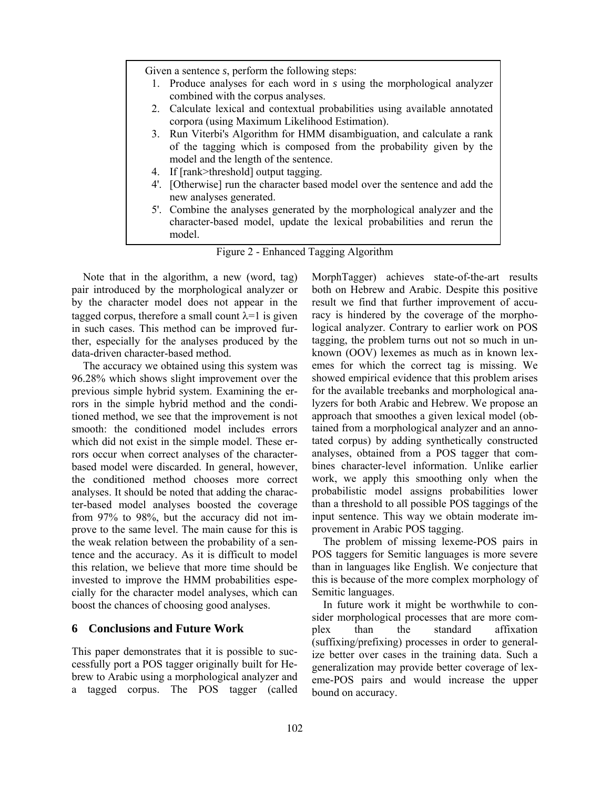|              | Given a sentence $s$ , perform the following steps:                                                                                                                                    |
|--------------|----------------------------------------------------------------------------------------------------------------------------------------------------------------------------------------|
| 1.           | Produce analyses for each word in s using the morphological analyzer<br>combined with the corpus analyses.                                                                             |
|              | 2. Calculate lexical and contextual probabilities using available annotated<br>corpora (using Maximum Likelihood Estimation).                                                          |
|              | 3. Run Viterbi's Algorithm for HMM disambiguation, and calculate a rank<br>of the tagging which is composed from the probability given by the<br>model and the length of the sentence. |
|              | 4. If [rank>threshold] output tagging.                                                                                                                                                 |
| $4^\prime$ . | [Otherwise] run the character based model over the sentence and add the<br>new analyses generated.                                                                                     |
|              | 5'. Combine the analyses generated by the morphological analyzer and the<br>character-based model, update the lexical probabilities and rerun the<br>model                             |

Figure 2 - Enhanced Tagging Algorithm

Note that in the algorithm, a new (word, tag) pair introduced by the morphological analyzer or by the character model does not appear in the tagged corpus, therefore a small count  $\lambda = 1$  is given in such cases. This method can be improved further, especially for the analyses produced by the data-driven character-based method.

The accuracy we obtained using this system was 96.28% which shows slight improvement over the previous simple hybrid system. Examining the errors in the simple hybrid method and the conditioned method, we see that the improvement is not smooth: the conditioned model includes errors which did not exist in the simple model. These errors occur when correct analyses of the characterbased model were discarded. In general, however, the conditioned method chooses more correct analyses. It should be noted that adding the character-based model analyses boosted the coverage from 97% to 98%, but the accuracy did not improve to the same level. The main cause for this is the weak relation between the probability of a sentence and the accuracy. As it is difficult to model this relation, we believe that more time should be invested to improve the HMM probabilities especially for the character model analyses, which can boost the chances of choosing good analyses.

#### **6 Conclusions and Future Work**

This paper demonstrates that it is possible to successfully port a POS tagger originally built for Hebrew to Arabic using a morphological analyzer and a tagged corpus. The POS tagger (called MorphTagger) achieves state-of-the-art results both on Hebrew and Arabic. Despite this positive result we find that further improvement of accuracy is hindered by the coverage of the morphological analyzer. Contrary to earlier work on POS tagging, the problem turns out not so much in unknown (OOV) lexemes as much as in known lexemes for which the correct tag is missing. We showed empirical evidence that this problem arises for the available treebanks and morphological analyzers for both Arabic and Hebrew. We propose an approach that smoothes a given lexical model (obtained from a morphological analyzer and an annotated corpus) by adding synthetically constructed analyses, obtained from a POS tagger that combines character-level information. Unlike earlier work, we apply this smoothing only when the probabilistic model assigns probabilities lower than a threshold to all possible POS taggings of the input sentence. This way we obtain moderate improvement in Arabic POS tagging.

The problem of missing lexeme-POS pairs in POS taggers for Semitic languages is more severe than in languages like English. We conjecture that this is because of the more complex morphology of Semitic languages.

In future work it might be worthwhile to consider morphological processes that are more complex than the standard affixation (suffixing/prefixing) processes in order to generalize better over cases in the training data. Such a generalization may provide better coverage of lexeme-POS pairs and would increase the upper bound on accuracy.